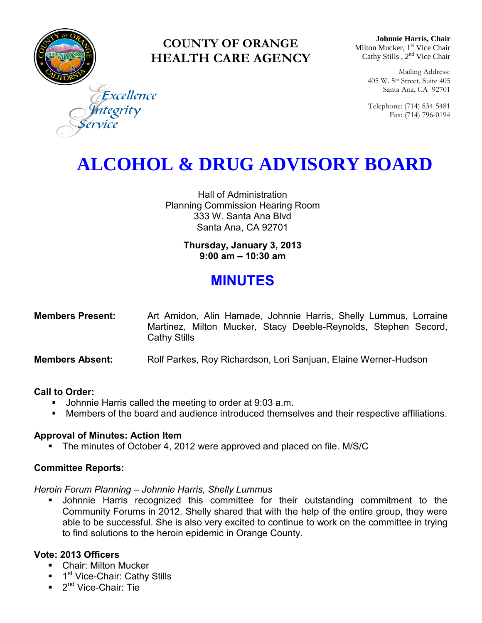

### **COUNTY OF ORANGE HEALTH CARE AGENCY**

**Johnnie Harris, Chair** Milton Mucker, 1<sup>st</sup> Vice Chair Cathy Stills, 2<sup>nd</sup> Vice Chair

> Mailing Address: 405 W. 5th Street, Suite 405 Santa Ana, CA 92701

> Telephone: (714) 834-5481 Fax: (714) 796-0194

Excellence tegrity

## **ALCOHOL & DRUG ADVISORY BOARD**

Hall of Administration Planning Commission Hearing Room 333 W. Santa Ana Blvd Santa Ana, CA 92701

> **Thursday, January 3, 2013 9:00 am – 10:30 am**

### **MINUTES**

| <b>Members Present:</b> |                     |  | Art Amidon, Alin Hamade, Johnnie Harris, Shelly Lummus, Lorraine |  |  |
|-------------------------|---------------------|--|------------------------------------------------------------------|--|--|
|                         |                     |  | Martinez, Milton Mucker, Stacy Deeble-Reynolds, Stephen Secord,  |  |  |
|                         | <b>Cathy Stills</b> |  |                                                                  |  |  |

**Members Absent:** Rolf Parkes, Roy Richardson, Lori Sanjuan, Elaine Werner-Hudson

#### **Call to Order:**

- **Johnnie Harris called the meeting to order at 9:03 a.m.**
- Members of the board and audience introduced themselves and their respective affiliations.

#### **Approval of Minutes: Action Item**

The minutes of October 4, 2012 were approved and placed on file. M/S/C

#### **Committee Reports:**

*Heroin Forum Planning – Johnnie Harris, Shelly Lummus* 

 Johnnie Harris recognized this committee for their outstanding commitment to the Community Forums in 2012. Shelly shared that with the help of the entire group, they were able to be successful. She is also very excited to continue to work on the committee in trying to find solutions to the heroin epidemic in Orange County.

#### **Vote: 2013 Officers**

- **-** Chair: Milton Mucker
- <sup>1st</sup> Vice-Chair: Cathy Stills
- 2<sup>nd</sup> Vice-Chair: Tie